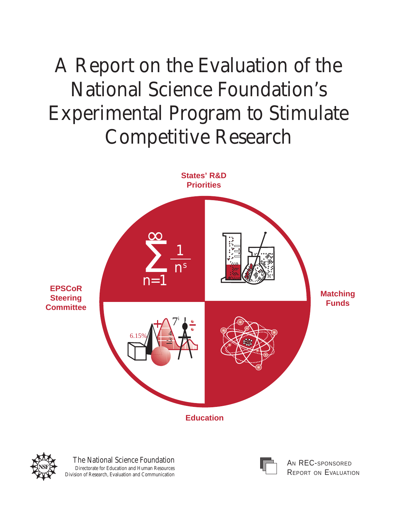# A Report on the Evaluation of the National Science Foundation's Experimental Program to Stimulate Competitive Research



**Education**



The National Science Foundation Directorate for Education and Human Resources Division of Research, Evaluation and Communication



AN REC-SPONSORED REPORT ON EVALUATION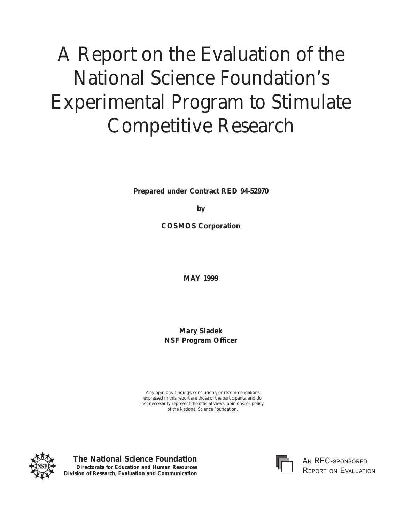# A Report on the Evaluation of the National Science Foundation's Experimental Program to Stimulate Competitive Research

**Prepared under Contract RED 94-52970**

**by**

**COSMOS Corporation**

**MAY 1999**

**Mary Sladek NSF Program Officer**

Any opinions, findings, conclusions, or recommendations expressed in this report are those of the participants, and do not necessarily represent the official views, opinions, or policy of the National Science Foundation.



**The National Science Foundation Directorate for Education and Human Resources Division of Research, Evaluation and Communication**



 $\,$ An  $\,$ REC-sponsori Report on Evalu*i*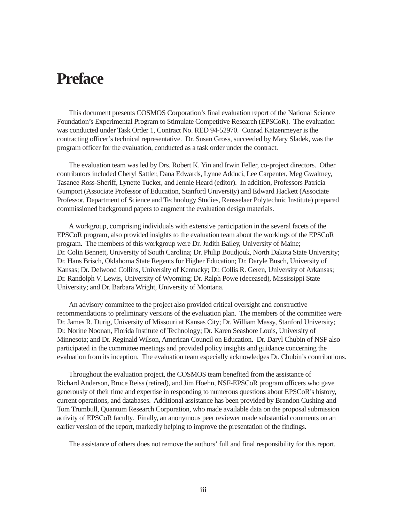# <span id="page-2-0"></span>**Preface**

This document presents COSMOS Corporation's final evaluation report of the National Science Foundation's Experimental Program to Stimulate Competitive Research (EPSCoR). The evaluation was conducted under Task Order 1, Contract No. RED 94-52970. Conrad Katzenmeyer is the contracting officer's technical representative. Dr. Susan Gross, succeeded by Mary Sladek, was the program officer for the evaluation, conducted as a task order under the contract.

The evaluation team was led by Drs. Robert K. Yin and Irwin Feller, co-project directors. Other contributors included Cheryl Sattler, Dana Edwards, Lynne Adduci, Lee Carpenter, Meg Gwaltney, Tasanee Ross-Sheriff, Lynette Tucker, and Jennie Heard (editor). In addition, Professors Patricia Gumport (Associate Professor of Education, Stanford University) and Edward Hackett (Associate Professor, Department of Science and Technology Studies, Rensselaer Polytechnic Institute) prepared commissioned background papers to augment the evaluation design materials.

A workgroup, comprising individuals with extensive participation in the several facets of the EPSCoR program, also provided insights to the evaluation team about the workings of the EPSCoR program. The members of this workgroup were Dr. Judith Bailey, University of Maine; Dr. Colin Bennett, University of South Carolina; Dr. Philip Boudjouk, North Dakota State University; Dr. Hans Brisch, Oklahoma State Regents for Higher Education; Dr. Daryle Busch, University of Kansas; Dr. Delwood Collins, University of Kentucky; Dr. Collis R. Geren, University of Arkansas; Dr. Randolph V. Lewis, University of Wyoming; Dr. Ralph Powe (deceased), Mississippi State University; and Dr. Barbara Wright, University of Montana.

An advisory committee to the project also provided critical oversight and constructive recommendations to preliminary versions of the evaluation plan. The members of the committee were Dr. James R. Durig, University of Missouri at Kansas City; Dr. William Massy, Stanford University; Dr. Norine Noonan, Florida Institute of Technology; Dr. Karen Seashore Louis, University of Minnesota; and Dr. Reginald Wilson, American Council on Education. Dr. Daryl Chubin of NSF also participated in the committee meetings and provided policy insights and guidance concerning the evaluation from its inception. The evaluation team especially acknowledges Dr. Chubin's contributions.

Throughout the evaluation project, the COSMOS team benefited from the assistance of Richard Anderson, Bruce Reiss (retired), and Jim Hoehn, NSF-EPSCoR program officers who gave generously of their time and expertise in responding to numerous questions about EPSCoR's history, current operations, and databases. Additional assistance has been provided by Brandon Cushing and Tom Trumbull, Quantum Research Corporation, who made available data on the proposal submission activity of EPSCoR faculty. Finally, an anonymous peer reviewer made substantial comments on an earlier version of the report, markedly helping to improve the presentation of the findings.

The assistance of others does not remove the authors' full and final responsibility for this report.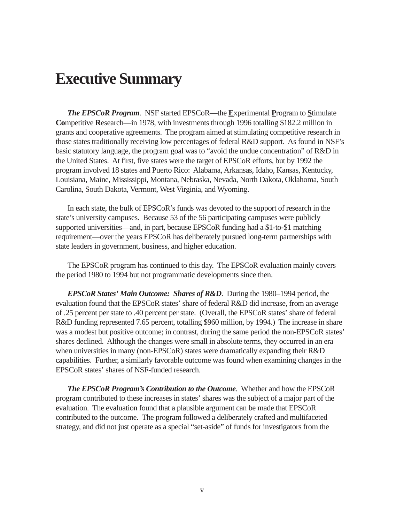# <span id="page-3-0"></span>**Executive Summary**

*The EPSCoR Program*. NSF started EPSCoR—the **E**xperimental **P**rogram to **S**timulate **Co**mpetitive **R**esearch—in 1978, with investments through 1996 totalling \$182.2 million in grants and cooperative agreements. The program aimed at stimulating competitive research in those states traditionally receiving low percentages of federal R&D support. As found in NSF's basic statutory language, the program goal was to "avoid the undue concentration" of R&D in the United States. At first, five states were the target of EPSCoR efforts, but by 1992 the program involved 18 states and Puerto Rico: Alabama, Arkansas, Idaho, Kansas, Kentucky, Louisiana, Maine, Mississippi, Montana, Nebraska, Nevada, North Dakota, Oklahoma, South Carolina, South Dakota, Vermont, West Virginia, and Wyoming.

In each state, the bulk of EPSCoR's funds was devoted to the support of research in the state's university campuses. Because 53 of the 56 participating campuses were publicly supported universities—and, in part, because EPSCoR funding had a \$1-to-\$1 matching requirement—over the years EPSCoR has deliberately pursued long-term partnerships with state leaders in government, business, and higher education.

The EPSCoR program has continued to this day. The EPSCoR evaluation mainly covers the period 1980 to 1994 but not programmatic developments since then.

*EPSCoR States' Main Outcome: Shares of R&D*. During the 1980–1994 period, the evaluation found that the EPSCoR states' share of federal R&D did increase, from an average of .25 percent per state to .40 percent per state. (Overall, the EPSCoR states' share of federal R&D funding represented 7.65 percent, totalling \$960 million, by 1994.) The increase in share was a modest but positive outcome; in contrast, during the same period the non-EPSCoR states' shares declined. Although the changes were small in absolute terms, they occurred in an era when universities in many (non-EPSCoR) states were dramatically expanding their R&D capabilities. Further, a similarly favorable outcome was found when examining changes in the EPSCoR states' shares of NSF-funded research.

*The EPSCoR Program's Contribution to the Outcome*. Whether and how the EPSCoR program contributed to these increases in states' shares was the subject of a major part of the evaluation. The evaluation found that a plausible argument can be made that EPSCoR contributed to the outcome. The program followed a deliberately crafted and multifaceted strategy, and did not just operate as a special "set-aside" of funds for investigators from the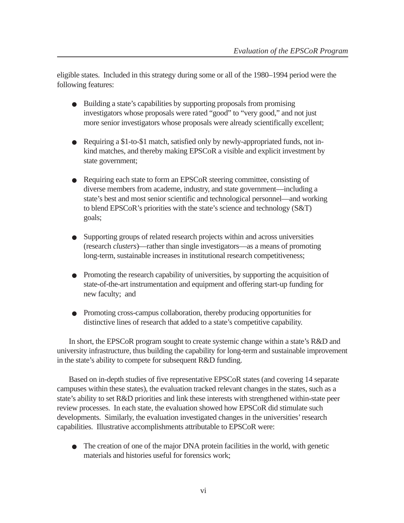eligible states. Included in this strategy during some or all of the 1980–1994 period were the following features:

- Building a state's capabilities by supporting proposals from promising investigators whose proposals were rated "good" to "very good," and not just more senior investigators whose proposals were already scientifically excellent;
- Requiring a \$1-to-\$1 match, satisfied only by newly-appropriated funds, not inkind matches, and thereby making EPSCoR a visible and explicit investment by state government;
- Requiring each state to form an EPSCoR steering committee, consisting of diverse members from academe, industry, and state government—including a state's best and most senior scientific and technological personnel—and working to blend EPSCoR's priorities with the state's science and technology (S&T) goals;
- Supporting groups of related research projects within and across universities (research *clusters*)—rather than single investigators—as a means of promoting long-term, sustainable increases in institutional research competitiveness;
- Promoting the research capability of universities, by supporting the acquisition of state-of-the-art instrumentation and equipment and offering start-up funding for new faculty; and
- Promoting cross-campus collaboration, thereby producing opportunities for distinctive lines of research that added to a state's competitive capability.

In short, the EPSCoR program sought to create systemic change within a state's R&D and university infrastructure, thus building the capability for long-term and sustainable improvement in the state's ability to compete for subsequent R&D funding.

Based on in-depth studies of five representative EPSCoR states (and covering 14 separate campuses within these states), the evaluation tracked relevant changes in the states, such as a state's ability to set R&D priorities and link these interests with strengthened within-state peer review processes. In each state, the evaluation showed how EPSCoR did stimulate such developments. Similarly, the evaluation investigated changes in the universities' research capabilities. Illustrative accomplishments attributable to EPSCoR were:

● The creation of one of the major DNA protein facilities in the world, with genetic materials and histories useful for forensics work;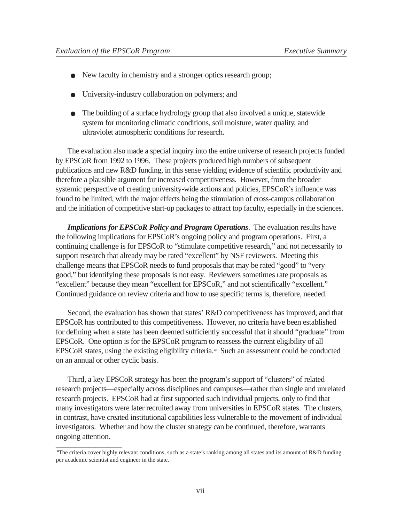- New faculty in chemistry and a stronger optics research group;
- University-industry collaboration on polymers; and
- The building of a surface hydrology group that also involved a unique, statewide system for monitoring climatic conditions, soil moisture, water quality, and ultraviolet atmospheric conditions for research.

The evaluation also made a special inquiry into the entire universe of research projects funded by EPSCoR from 1992 to 1996. These projects produced high numbers of subsequent publications and new R&D funding, in this sense yielding evidence of scientific productivity and therefore a plausible argument for increased competitiveness. However, from the broader systemic perspective of creating university-wide actions and policies, EPSCoR's influence was found to be limited, with the major effects being the stimulation of cross-campus collaboration and the initiation of competitive start-up packages to attract top faculty, especially in the sciences.

*Implications for EPSCoR Policy and Program Operations*. The evaluation results have the following implications for EPSCoR's ongoing policy and program operations. First, a continuing challenge is for EPSCoR to "stimulate competitive research," and not necessarily to support research that already may be rated "excellent" by NSF reviewers. Meeting this challenge means that EPSCoR needs to fund proposals that may be rated "good" to "very good," but identifying these proposals is not easy. Reviewers sometimes rate proposals as "excellent" because they mean "excellent for EPSCoR," and not scientifically "excellent." Continued guidance on review criteria and how to use specific terms is, therefore, needed.

Second, the evaluation has shown that states' R&D competitiveness has improved, and that EPSCoR has contributed to this competitiveness. However, no criteria have been established for defining when a state has been deemed sufficiently successful that it should "graduate" from EPSCoR. One option is for the EPSCoR program to reassess the current eligibility of all EPSCoR states, using the existing eligibility criteria.\* Such an assessment could be conducted on an annual or other cyclic basis.

Third, a key EPSCoR strategy has been the program's support of "clusters" of related research projects—especially across disciplines and campuses—rather than single and unrelated research projects. EPSCoR had at first supported such individual projects, only to find that many investigators were later recruited away from universities in EPSCoR states. The clusters, in contrast, have created institutional capabilities less vulnerable to the movement of individual investigators. Whether and how the cluster strategy can be continued, therefore, warrants ongoing attention.

<sup>\*</sup>The criteria cover highly relevant conditions, such as a state's ranking among all states and its amount of R&D funding per academic scientist and engineer in the state.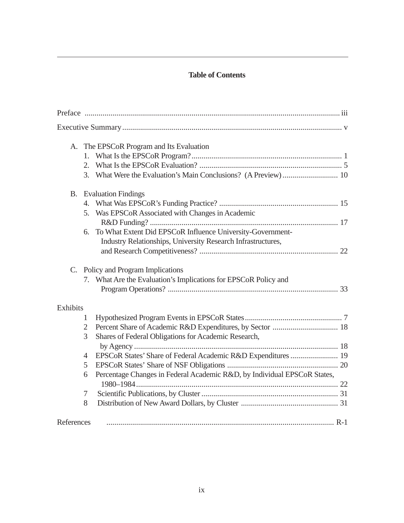# **Table of Contents**

|            | A. The EPSCoR Program and Its Evaluation                                        |  |  |  |  |  |
|------------|---------------------------------------------------------------------------------|--|--|--|--|--|
|            |                                                                                 |  |  |  |  |  |
|            | 2.                                                                              |  |  |  |  |  |
|            |                                                                                 |  |  |  |  |  |
|            | <b>B.</b> Evaluation Findings                                                   |  |  |  |  |  |
|            |                                                                                 |  |  |  |  |  |
|            | Was EPSCoR Associated with Changes in Academic<br>5.                            |  |  |  |  |  |
|            |                                                                                 |  |  |  |  |  |
|            | To What Extent Did EPSCoR Influence University-Government-<br>6.                |  |  |  |  |  |
|            | Industry Relationships, University Research Infrastructures,                    |  |  |  |  |  |
|            |                                                                                 |  |  |  |  |  |
|            | C. Policy and Program Implications                                              |  |  |  |  |  |
|            | 7. What Are the Evaluation's Implications for EPSCoR Policy and                 |  |  |  |  |  |
|            |                                                                                 |  |  |  |  |  |
| Exhibits   |                                                                                 |  |  |  |  |  |
|            | 1                                                                               |  |  |  |  |  |
|            | Percent Share of Academic R&D Expenditures, by Sector  18<br>$\overline{2}$     |  |  |  |  |  |
|            | Shares of Federal Obligations for Academic Research,<br>3                       |  |  |  |  |  |
|            |                                                                                 |  |  |  |  |  |
|            | EPSCoR States' Share of Federal Academic R&D Expenditures  19<br>$\overline{4}$ |  |  |  |  |  |
|            | 5                                                                               |  |  |  |  |  |
|            | Percentage Changes in Federal Academic R&D, by Individual EPSCoR States,<br>6   |  |  |  |  |  |
|            |                                                                                 |  |  |  |  |  |
|            | 7                                                                               |  |  |  |  |  |
|            | 8                                                                               |  |  |  |  |  |
| References |                                                                                 |  |  |  |  |  |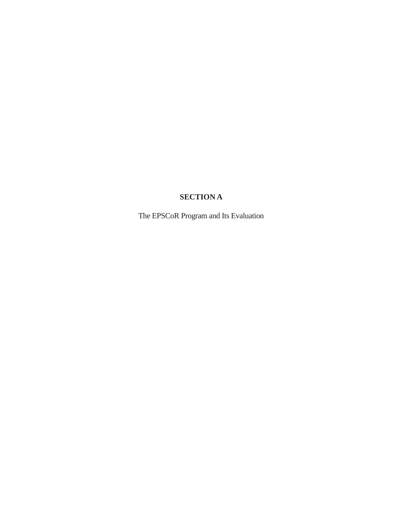# **SECTION A**

<span id="page-7-0"></span>The EPSCoR Program and Its Evaluation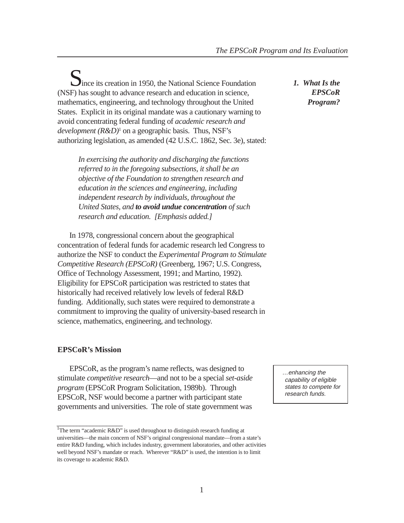<span id="page-8-0"></span>Since its creation in 1950, the National Science Foundation (NSF) has sought to advance research and education in science, mathematics, engineering, and technology throughout the United States. Explicit in its original mandate was a cautionary warning to avoid concentrating federal funding of *academic research and development (R&D)*<sup>1</sup> on a geographic basis. Thus, NSF's authorizing legislation, as amended (42 U.S.C. 1862, Sec. 3e), stated:

*In exercising the authority and discharging the functions referred to in the foregoing subsections, it shall be an objective of the Foundation to strengthen research and education in the sciences and engineering, including independent research by individuals, throughout the United States, and to avoid undue concentration of such research and education. [Emphasis added.]*

In 1978, congressional concern about the geographical concentration of federal funds for academic research led Congress to authorize the NSF to conduct the *Experimental Program to Stimulate Competitive Research (EPSCoR)* (Greenberg, 1967; U.S. Congress, Office of Technology Assessment, 1991; and Martino, 1992). Eligibility for EPSCoR participation was restricted to states that historically had received relatively low levels of federal R&D funding. Additionally, such states were required to demonstrate a commitment to improving the quality of university-based research in science, mathematics, engineering, and technology.

# **EPSCoR's Mission**

EPSCoR, as the program's name reflects, was designed to stimulate *competitive research*—and not to be a special *set-aside program* (EPSCoR Program Solicitation, 1989b). Through EPSCoR, NSF would become a partner with participant state governments and universities. The role of state government was

*1. What Is the EPSCoR Program?*

…enhancing the capability of eligible states to compete for research funds.

<sup>&</sup>lt;sup>1</sup>The term "academic R&D" is used throughout to distinguish research funding at universities—the main concern of NSF's original congressional mandate—from a state's entire R&D funding, which includes industry, government laboratories, and other activities well beyond NSF's mandate or reach. Wherever "R&D" is used, the intention is to limit its coverage to academic R&D.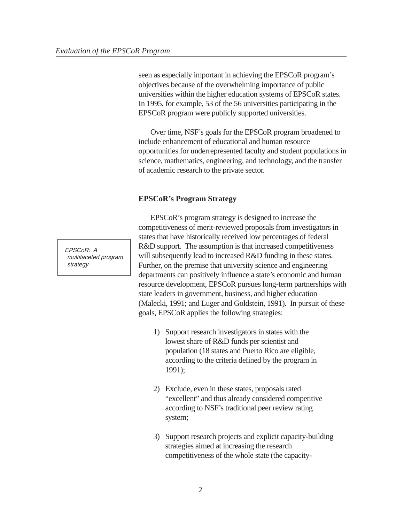seen as especially important in achieving the EPSCoR program's objectives because of the overwhelming importance of public universities within the higher education systems of EPSCoR states. In 1995, for example, 53 of the 56 universities participating in the EPSCoR program were publicly supported universities.

Over time, NSF's goals for the EPSCoR program broadened to include enhancement of educational and human resource opportunities for underrepresented faculty and student populations in science, mathematics, engineering, and technology, and the transfer of academic research to the private sector.

#### **EPSCoR's Program Strategy**

EPSCoR's program strategy is designed to increase the competitiveness of merit-reviewed proposals from investigators in states that have historically received low percentages of federal R&D support. The assumption is that increased competitiveness will subsequently lead to increased R&D funding in these states. Further, on the premise that university science and engineering departments can positively influence a state's economic and human resource development, EPSCoR pursues long-term partnerships with state leaders in government, business, and higher education (Malecki, 1991; and Luger and Goldstein, 1991). In pursuit of these goals, EPSCoR applies the following strategies:

- 1) Support research investigators in states with the lowest share of R&D funds per scientist and population (18 states and Puerto Rico are eligible, according to the criteria defined by the program in 1991);
- 2) Exclude, even in these states, proposals rated "excellent" and thus already considered competitive according to NSF's traditional peer review rating system;
- 3) Support research projects and explicit capacity-building strategies aimed at increasing the research competitiveness of the whole state (the capacity-

EPSCoR: A multifaceted program strategy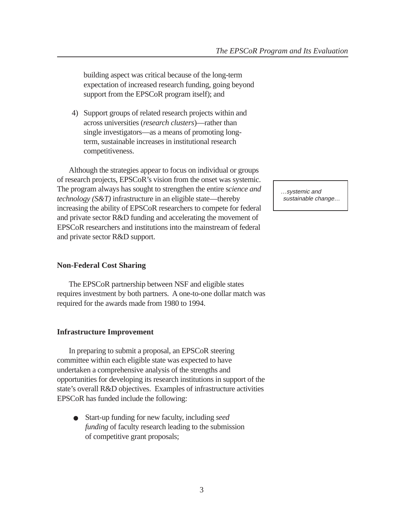building aspect was critical because of the long-term expectation of increased research funding, going beyond support from the EPSCoR program itself); and

4) Support groups of related research projects within and across universities (*research clusters*)—rather than single investigators—as a means of promoting longterm, sustainable increases in institutional research competitiveness.

Although the strategies appear to focus on individual or groups of research projects, EPSCoR's vision from the onset was systemic. The program always has sought to strengthen the entire s*cience and technology (S&T)* infrastructure in an eligible state—thereby increasing the ability of EPSCoR researchers to compete for federal and private sector R&D funding and accelerating the movement of EPSCoR researchers and institutions into the mainstream of federal and private sector R&D support.

#### **Non-Federal Cost Sharing**

The EPSCoR partnership between NSF and eligible states requires investment by both partners. A one-to-one dollar match was required for the awards made from 1980 to 1994.

#### **Infrastructure Improvement**

In preparing to submit a proposal, an EPSCoR steering committee within each eligible state was expected to have undertaken a comprehensive analysis of the strengths and opportunities for developing its research institutions in support of the state's overall R&D objectives. Examples of infrastructure activities EPSCoR has funded include the following:

Start-up funding for new faculty, including *seed funding* of faculty research leading to the submission of competitive grant proposals;

…systemic and sustainable change…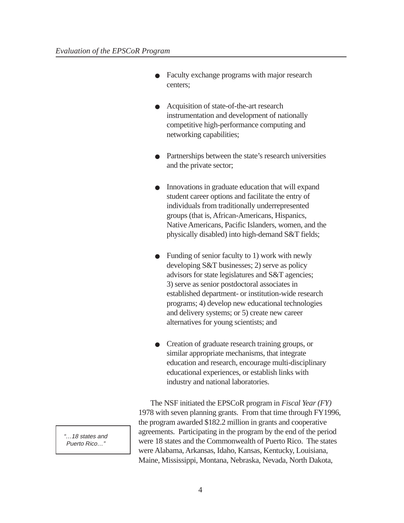- Faculty exchange programs with major research centers;
- Acquisition of state-of-the-art research instrumentation and development of nationally competitive high-performance computing and networking capabilities;
- Partnerships between the state's research universities and the private sector;
- Innovations in graduate education that will expand student career options and facilitate the entry of individuals from traditionally underrepresented groups (that is, African-Americans, Hispanics, Native Americans, Pacific Islanders, women, and the physically disabled) into high-demand S&T fields;
- Funding of senior faculty to 1) work with newly developing S&T businesses; 2) serve as policy advisors for state legislatures and S&T agencies; 3) serve as senior postdoctoral associates in established department- or institution-wide research programs; 4) develop new educational technologies and delivery systems; or 5) create new career alternatives for young scientists; and
- Creation of graduate research training groups, or similar appropriate mechanisms, that integrate education and research, encourage multi-disciplinary educational experiences, or establish links with industry and national laboratories.

The NSF initiated the EPSCoR program in *Fiscal Year (FY)* 1978 with seven planning grants. From that time through FY1996, the program awarded \$182.2 million in grants and cooperative agreements. Participating in the program by the end of the period were 18 states and the Commonwealth of Puerto Rico. The states were Alabama, Arkansas, Idaho, Kansas, Kentucky, Louisiana, Maine, Mississippi, Montana, Nebraska, Nevada, North Dakota,

"…18 states and Puerto Rico…"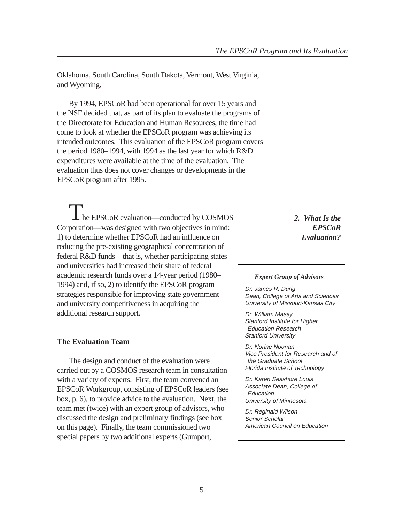<span id="page-12-0"></span>Oklahoma, South Carolina, South Dakota, Vermont, West Virginia, and Wyoming.

By 1994, EPSCoR had been operational for over 15 years and the NSF decided that, as part of its plan to evaluate the programs of the Directorate for Education and Human Resources, the time had come to look at whether the EPSCoR program was achieving its intended outcomes. This evaluation of the EPSCoR program covers the period 1980–1994, with 1994 as the last year for which R&D expenditures were available at the time of the evaluation. The evaluation thus does not cover changes or developments in the EPSCoR program after 1995.

The EPSCoR evaluation—conducted by COSMOS Corporation—was designed with two objectives in mind: 1) to determine whether EPSCoR had an influence on reducing the pre-existing geographical concentration of federal R&D funds—that is, whether participating states and universities had increased their share of federal academic research funds over a 14-year period (1980– 1994) and, if so, 2) to identify the EPSCoR program strategies responsible for improving state government and university competitiveness in acquiring the additional research support.

#### **The Evaluation Team**

The design and conduct of the evaluation were carried out by a COSMOS research team in consultation with a variety of experts. First, the team convened an EPSCoR Workgroup, consisting of EPSCoR leaders (see box, p. 6), to provide advice to the evaluation. Next, the team met (twice) with an expert group of advisors, who discussed the design and preliminary findings (see box on this page). Finally, the team commissioned two special papers by two additional experts (Gumport,

*2. What Is the EPSCoR Evaluation?*

#### *Expert Group of Advisors*

Dr. James R. Durig Dean, College of Arts and Sciences University of Missouri-Kansas City

Dr. William Massy Stanford Institute for Higher Education Research Stanford University

Dr. Norine Noonan Vice President for Research and of the Graduate School Florida Institute of Technology

Dr. Karen Seashore Louis Associate Dean, College of **Education** University of Minnesota

Dr. Reginald Wilson Senior Scholar American Council on Education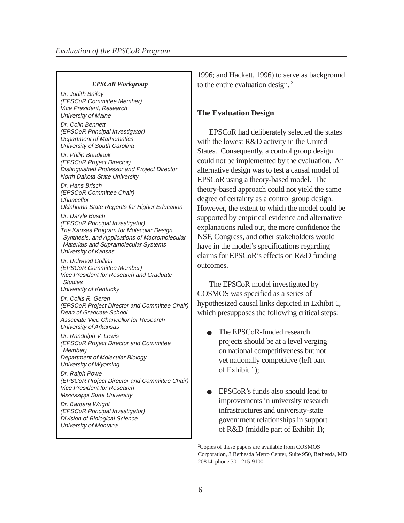#### *EPSCoR Workgroup*

Dr. Judith Bailey (EPSCoR Committee Member) Vice President, Research University of Maine

Dr. Colin Bennett (EPSCoR Principal Investigator) Department of Mathematics University of South Carolina

Dr. Philip Boudjouk (EPSCoR Project Director) Distinguished Professor and Project Director North Dakota State University

Dr. Hans Brisch (EPSCoR Committee Chair) **Chancellor** Oklahoma State Regents for Higher Education

Dr. Daryle Busch (EPSCoR Principal Investigator) The Kansas Program for Molecular Design, Synthesis, and Applications of Macromolecular Materials and Supramolecular Systems University of Kansas

Dr. Delwood Collins (EPSCoR Committee Member) Vice President for Research and Graduate **Studies** University of Kentucky

Dr. Collis R. Geren

(EPSCoR Project Director and Committee Chair) Dean of Graduate School Associate Vice Chancellor for Research University of Arkansas

Dr. Randolph V. Lewis (EPSCoR Project Director and Committee Member) Department of Molecular Biology University of Wyoming

Dr. Ralph Powe (EPSCoR Project Director and Committee Chair) Vice President for Research Mississippi State University

Dr. Barbara Wright (EPSCoR Principal Investigator) Division of Biological Science University of Montana

1996; and Hackett, 1996) to serve as background to the entire evaluation design.<sup>2</sup>

#### **The Evaluation Design**

EPSCoR had deliberately selected the states with the lowest R&D activity in the United States. Consequently, a control group design could not be implemented by the evaluation. An alternative design was to test a causal model of EPSCoR using a theory-based model. The theory-based approach could not yield the same degree of certainty as a control group design. However, the extent to which the model could be supported by empirical evidence and alternative explanations ruled out, the more confidence the NSF, Congress, and other stakeholders would have in the model's specifications regarding claims for EPSCoR's effects on R&D funding outcomes.

The EPSCoR model investigated by COSMOS was specified as a series of hypothesized causal links depicted in Exhibit 1, which presupposes the following critical steps:

- The EPSCoR-funded research projects should be at a level verging on national competitiveness but not yet nationally competitive (left part of Exhibit 1);
- EPSCoR's funds also should lead to improvements in university research infrastructures and university-state government relationships in support of R&D (middle part of Exhibit 1);

 $\_$ 

<sup>2</sup> Copies of these papers are available from COSMOS Corporation, 3 Bethesda Metro Center, Suite 950, Bethesda, MD 20814, phone 301-215-9100.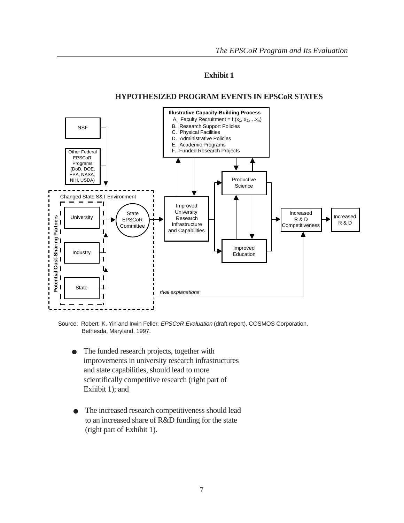## **Exhibit 1**

#### **HYPOTHESIZED PROGRAM EVENTS IN EPSCoR STATES**

<span id="page-14-0"></span>

Source: Robert K. Yin and Irwin Feller, EPSCoR Evaluation (draft report), COSMOS Corporation, Bethesda, Maryland, 1997.

- The funded research projects, together with improvements in university research infrastructures and state capabilities, should lead to more scientifically competitive research (right part of Exhibit 1); and
- The increased research competitiveness should lead to an increased share of R&D funding for the state (right part of Exhibit 1).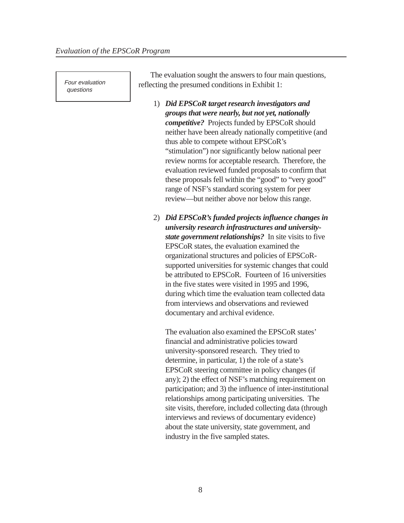Four evaluation questions

The evaluation sought the answers to four main questions, reflecting the presumed conditions in Exhibit 1:

- 1) *Did EPSCoR target research investigators and groups that were nearly, but not yet, nationally competitive?*Projects funded by EPSCoR should neither have been already nationally competitive (and thus able to compete without EPSCoR's "stimulation") nor significantly below national peer review norms for acceptable research. Therefore, the evaluation reviewed funded proposals to confirm that these proposals fell within the "good" to "very good" range of NSF's standard scoring system for peer review—but neither above nor below this range.
- 2) *Did EPSCoR's funded projects influence changes in university research infrastructures and universitystate government relationships?*In site visits to five EPSCoR states, the evaluation examined the organizational structures and policies of EPSCoRsupported universities for systemic changes that could be attributed to EPSCoR. Fourteen of 16 universities in the five states were visited in 1995 and 1996, during which time the evaluation team collected data from interviews and observations and reviewed documentary and archival evidence.

The evaluation also examined the EPSCoR states' financial and administrative policies toward university-sponsored research. They tried to determine, in particular, 1) the role of a state's EPSCoR steering committee in policy changes (if any); 2) the effect of NSF's matching requirement on participation; and 3) the influence of inter-institutional relationships among participating universities. The site visits, therefore, included collecting data (through interviews and reviews of documentary evidence) about the state university, state government, and industry in the five sampled states.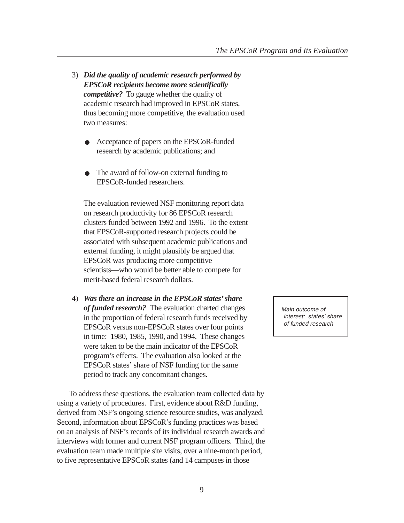- 3) *Did the quality of academic research performed by EPSCoR recipients become more scientifically competitive?* To gauge whether the quality of academic research had improved in EPSCoR states, thus becoming more competitive, the evaluation used two measures:
	- Acceptance of papers on the EPSCoR-funded research by academic publications; and
	- The award of follow-on external funding to EPSCoR-funded researchers.

The evaluation reviewed NSF monitoring report data on research productivity for 86 EPSCoR research clusters funded between 1992 and 1996. To the extent that EPSCoR-supported research projects could be associated with subsequent academic publications and external funding, it might plausibly be argued that EPSCoR was producing more competitive scientists—who would be better able to compete for merit-based federal research dollars.

4) *Was there an increase in the EPSCoR states' share of funded research?*The evaluation charted changes in the proportion of federal research funds received by EPSCoR versus non-EPSCoR states over four points in time: 1980, 1985, 1990, and 1994. These changes were taken to be the main indicator of the EPSCoR program's effects. The evaluation also looked at the EPSCoR states' share of NSF funding for the same period to track any concomitant changes.

To address these questions, the evaluation team collected data by using a variety of procedures. First, evidence about R&D funding, derived from NSF's ongoing science resource studies, was analyzed. Second, information about EPSCoR's funding practices was based on an analysis of NSF's records of its individual research awards and interviews with former and current NSF program officers. Third, the evaluation team made multiple site visits, over a nine-month period, to five representative EPSCoR states (and 14 campuses in those

Main outcome of interest: states' share of funded research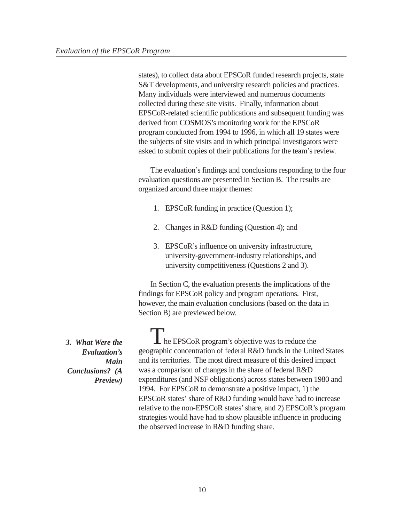<span id="page-17-0"></span>states), to collect data about EPSCoR funded research projects, state S&T developments, and university research policies and practices. Many individuals were interviewed and numerous documents collected during these site visits. Finally, information about EPSCoR-related scientific publications and subsequent funding was derived from COSMOS's monitoring work for the EPSCoR program conducted from 1994 to 1996, in which all 19 states were the subjects of site visits and in which principal investigators were asked to submit copies of their publications for the team's review.

The evaluation's findings and conclusions responding to the four evaluation questions are presented in Section B. The results are organized around three major themes:

- 1. EPSCoR funding in practice (Question 1);
- 2. Changes in R&D funding (Question 4); and
- 3. EPSCoR's influence on university infrastructure, university-government-industry relationships, and university competitiveness (Questions 2 and 3).

In Section C, the evaluation presents the implications of the findings for EPSCoR policy and program operations. First, however, the main evaluation conclusions (based on the data in Section B) are previewed below.

The EPSCoR program's objective was to reduce the geographic concentration of federal R&D funds in the United States and its territories. The most direct measure of this desired impact was a comparison of changes in the share of federal R&D expenditures (and NSF obligations) across states between 1980 and 1994. For EPSCoR to demonstrate a positive impact, 1) the EPSCoR states' share of R&D funding would have had to increase relative to the non-EPSCoR states' share, and 2) EPSCoR's program strategies would have had to show plausible influence in producing the observed increase in R&D funding share.

*3. What Were the Evaluation's Main Conclusions? (A Preview)*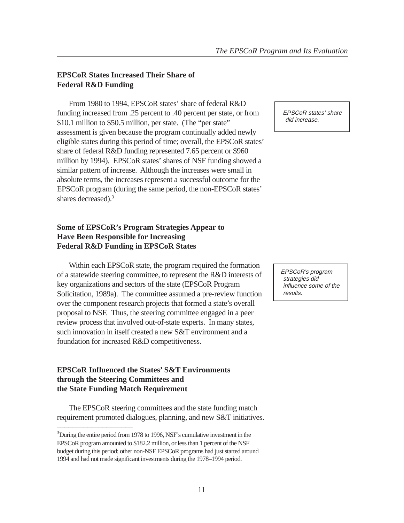#### **EPSCoR States Increased Their Share of Federal R&D Funding**

From 1980 to 1994, EPSCoR states' share of federal R&D funding increased from .25 percent to .40 percent per state, or from \$10.1 million to \$50.5 million, per state. (The "per state" assessment is given because the program continually added newly eligible states during this period of time; overall, the EPSCoR states' share of federal R&D funding represented 7.65 percent or \$960 million by 1994). EPSCoR states' shares of NSF funding showed a similar pattern of increase. Although the increases were small in absolute terms, the increases represent a successful outcome for the EPSCoR program (during the same period, the non-EPSCoR states' shares decreased).3

## **Some of EPSCoR's Program Strategies Appear to Have Been Responsible for Increasing Federal R&D Funding in EPSCoR States**

Within each EPSCoR state, the program required the formation of a statewide steering committee, to represent the R&D interests of key organizations and sectors of the state (EPSCoR Program Solicitation, 1989a). The committee assumed a pre-review function over the component research projects that formed a state's overall proposal to NSF. Thus, the steering committee engaged in a peer review process that involved out-of-state experts. In many states, such innovation in itself created a new S&T environment and a foundation for increased R&D competitiveness.

#### **EPSCoR Influenced the States' S&T Environments through the Steering Committees and the State Funding Match Requirement**

The EPSCoR steering committees and the state funding match requirement promoted dialogues, planning, and new S&T initiatives. \_\_\_\_\_\_\_\_\_\_\_\_\_\_\_\_\_\_\_\_

EPSCoR states' share did increase.

EPSCoR's program strategies did influence some of the results.

<sup>&</sup>lt;sup>3</sup>During the entire period from 1978 to 1996, NSF's cumulative investment in the EPSCoR program amounted to \$182.2 million, or less than 1 percent of the NSF budget during this period; other non-NSF EPSCoR programs had just started around 1994 and had not made significant investments during the 1978–1994 period.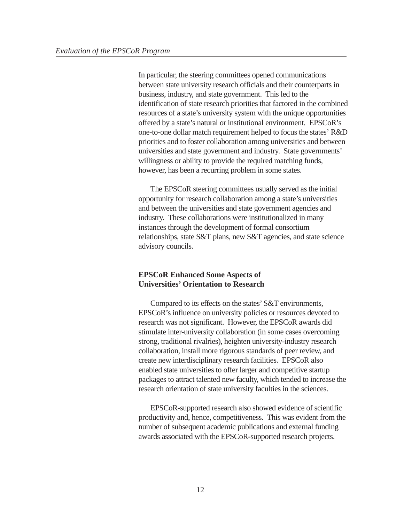In particular, the steering committees opened communications between state university research officials and their counterparts in business, industry, and state government. This led to the identification of state research priorities that factored in the combined resources of a state's university system with the unique opportunities offered by a state's natural or institutional environment. EPSCoR's one-to-one dollar match requirement helped to focus the states' R&D priorities and to foster collaboration among universities and between universities and state government and industry. State governments' willingness or ability to provide the required matching funds, however, has been a recurring problem in some states.

The EPSCoR steering committees usually served as the initial opportunity for research collaboration among a state's universities and between the universities and state government agencies and industry. These collaborations were institutionalized in many instances through the development of formal consortium relationships, state S&T plans, new S&T agencies, and state science advisory councils.

#### **EPSCoR Enhanced Some Aspects of Universities' Orientation to Research**

Compared to its effects on the states' S&T environments, EPSCoR's influence on university policies or resources devoted to research was not significant. However, the EPSCoR awards did stimulate inter-university collaboration (in some cases overcoming strong, traditional rivalries), heighten university-industry research collaboration, install more rigorous standards of peer review, and create new interdisciplinary research facilities. EPSCoR also enabled state universities to offer larger and competitive startup packages to attract talented new faculty, which tended to increase the research orientation of state university faculties in the sciences.

EPSCoR-supported research also showed evidence of scientific productivity and, hence, competitiveness. This was evident from the number of subsequent academic publications and external funding awards associated with the EPSCoR-supported research projects.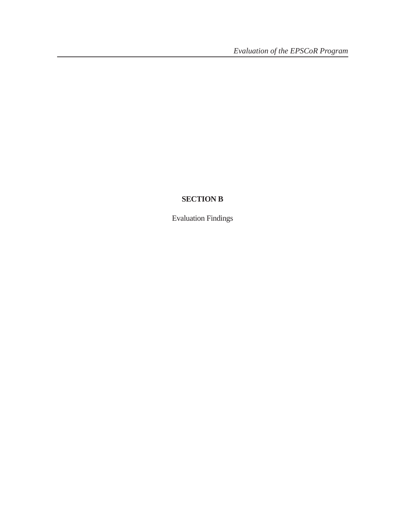# <span id="page-20-0"></span>**SECTION B**

Evaluation Findings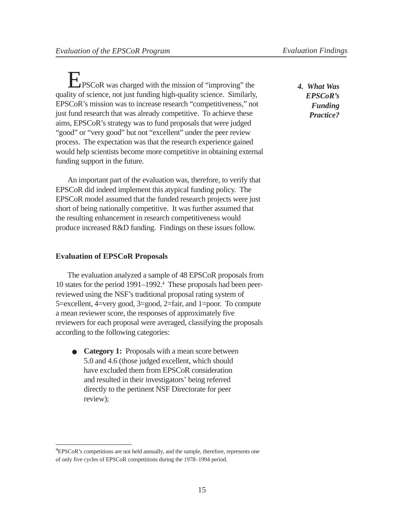<span id="page-21-0"></span>EPSCoR was charged with the mission of "improving" the quality of science, not just funding high-quality science. Similarly, EPSCoR's mission was to increase research "competitiveness," not just fund research that was already competitive. To achieve these aims, EPSCoR's strategy was to fund proposals that were judged "good" or "very good" but not "excellent" under the peer review process. The expectation was that the research experience gained would help scientists become more competitive in obtaining external funding support in the future.

An important part of the evaluation was, therefore, to verify that EPSCoR did indeed implement this atypical funding policy. The EPSCoR model assumed that the funded research projects were just short of being nationally competitive. It was further assumed that the resulting enhancement in research competitiveness would produce increased R&D funding. Findings on these issues follow.

#### **Evaluation of EPSCoR Proposals**

\_\_\_\_\_\_\_\_\_\_\_\_\_\_\_\_\_\_\_\_

The evaluation analyzed a sample of 48 EPSCoR proposals from 10 states for the period 1991–1992.4 These proposals had been peerreviewed using the NSF's traditional proposal rating system of 5=excellent, 4=very good, 3=good, 2=fair, and 1=poor. To compute a mean reviewer score, the responses of approximately five reviewers for each proposal were averaged, classifying the proposals according to the following categories:

● **Category 1:** Proposals with a mean score between 5.0 and 4.6 (those judged excellent, which should have excluded them from EPSCoR consideration and resulted in their investigators' being referred directly to the pertinent NSF Directorate for peer review);

*4. What Was EPSCoR's Funding Practice?*

<sup>&</sup>lt;sup>4</sup>EPSCoR's competitions are not held annually, and the sample, therefore, represents one of only five cycles of EPSCoR competitions during the 1978–1994 period.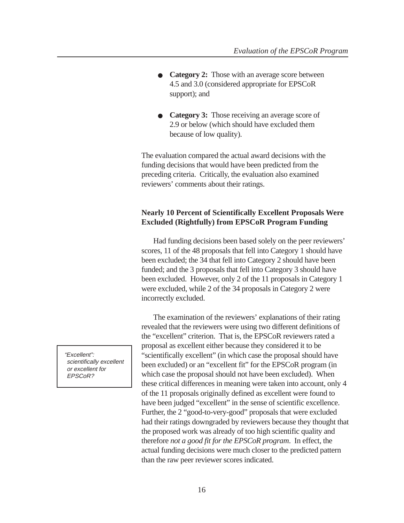- **Category 2:** Those with an average score between 4.5 and 3.0 (considered appropriate for EPSCoR support); and
- **Category 3:** Those receiving an average score of 2.9 or below (which should have excluded them because of low quality).

The evaluation compared the actual award decisions with the funding decisions that would have been predicted from the preceding criteria. Critically, the evaluation also examined reviewers' comments about their ratings.

#### **Nearly 10 Percent of Scientifically Excellent Proposals Were Excluded (Rightfully) from EPSCoR Program Funding**

Had funding decisions been based solely on the peer reviewers' scores, 11 of the 48 proposals that fell into Category 1 should have been excluded; the 34 that fell into Category 2 should have been funded; and the 3 proposals that fell into Category 3 should have been excluded. However, only 2 of the 11 proposals in Category 1 were excluded, while 2 of the 34 proposals in Category 2 were incorrectly excluded.

The examination of the reviewers' explanations of their rating revealed that the reviewers were using two different definitions of the "excellent" criterion. That is, the EPSCoR reviewers rated a proposal as excellent either because they considered it to be "scientifically excellent" (in which case the proposal should have been excluded) or an "excellent fit" for the EPSCoR program (in which case the proposal should not have been excluded). When these critical differences in meaning were taken into account, only 4 of the 11 proposals originally defined as excellent were found to have been judged "excellent" in the sense of scientific excellence. Further, the 2 "good-to-very-good" proposals that were excluded had their ratings downgraded by reviewers because they thought that the proposed work was already of too high scientific quality and therefore *not a good fit for the EPSCoR program*. In effect, the actual funding decisions were much closer to the predicted pattern than the raw peer reviewer scores indicated.

"Excellent": scientifically excellent or excellent for EPSCoR?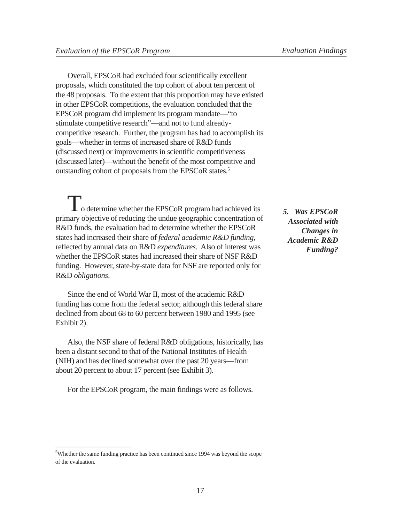<span id="page-23-0"></span>Overall, EPSCoR had excluded four scientifically excellent proposals, which constituted the top cohort of about ten percent of the 48 proposals. To the extent that this proportion may have existed in other EPSCoR competitions, the evaluation concluded that the EPSCoR program did implement its program mandate—"to stimulate competitive research"—and not to fund alreadycompetitive research. Further, the program has had to accomplish its goals—whether in terms of increased share of R&D funds (discussed next) or improvements in scientific competitiveness (discussed later)—without the benefit of the most competitive and outstanding cohort of proposals from the EPSCoR states.5

To determine whether the EPSCoR program had achieved its<br>concentration of primary objective of reducing the undue geographic concentration of R&D funds, the evaluation had to determine whether the EPSCoR states had increased their share of *federal academic R&D funding,* reflected by annual data on R&D *expenditures*. Also of interest was whether the EPSCoR states had increased their share of NSF R&D funding. However, state-by-state data for NSF are reported only for R&D *obligations*.

Since the end of World War II, most of the academic R&D funding has come from the federal sector, although this federal share declined from about 68 to 60 percent between 1980 and 1995 (see Exhibit 2).

Also, the NSF share of federal R&D obligations, historically, has been a distant second to that of the National Institutes of Health (NIH) and has declined somewhat over the past 20 years—from about 20 percent to about 17 percent (see Exhibit 3).

For the EPSCoR program, the main findings were as follows.

<sup>5</sup>Whether the same funding practice has been continued since 1994 was beyond the scope of the evaluation.

\_\_\_\_\_\_\_\_\_\_\_\_\_\_\_\_\_\_\_\_

*5. Was EPSCoR Associated with Changes in Academic R&D Funding?*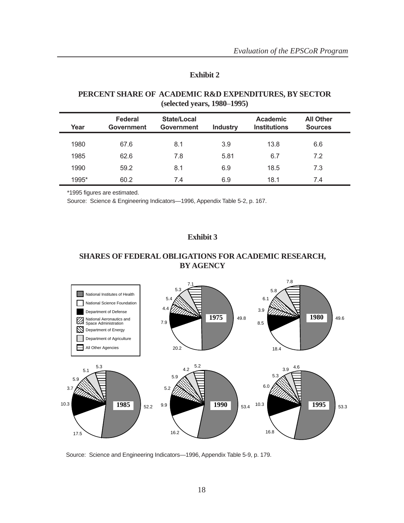#### **Exhibit 2**

#### <span id="page-24-0"></span>**PERCENT SHARE OF ACADEMIC R&D EXPENDITURES, BY SECTOR (selected years, 1980**–**1995)**

| Year  | Federal<br><b>Government</b> | State/Local<br><b>Government</b> | <b>Industry</b> | <b>Academic</b><br><b>Institutions</b> | <b>All Other</b><br><b>Sources</b> |
|-------|------------------------------|----------------------------------|-----------------|----------------------------------------|------------------------------------|
| 1980  | 67.6                         | 8.1                              | 3.9             | 13.8                                   | 6.6                                |
| 1985  | 62.6                         | 7.8                              | 5.81            | 6.7                                    | 7.2                                |
| 1990  | 59.2                         | 8.1                              | 6.9             | 18.5                                   | 7.3                                |
| 1995* | 60.2                         | 7.4                              | 6.9             | 18.1                                   | 7.4                                |

\*1995 figures are estimated.

Source: Science & Engineering Indicators—1996, Appendix Table 5-2, p. 167.

#### **Exhibit 3**

#### **SHARES OF FEDERAL OBLIGATIONS FOR ACADEMIC RESEARCH, BY AGENCY**



Source: Science and Engineering Indicators—1996, Appendix Table 5-9, p. 179.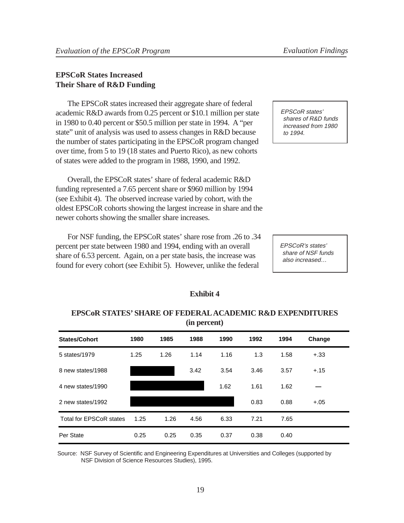#### <span id="page-25-0"></span>**EPSCoR States Increased Their Share of R&D Funding**

The EPSCoR states increased their aggregate share of federal academic R&D awards from 0.25 percent or \$10.1 million per state in 1980 to 0.40 percent or \$50.5 million per state in 1994. A "per state" unit of analysis was used to assess changes in R&D because the number of states participating in the EPSCoR program changed over time, from 5 to 19 (18 states and Puerto Rico), as new cohorts of states were added to the program in 1988, 1990, and 1992.

Overall, the EPSCoR states' share of federal academic R&D funding represented a 7.65 percent share or \$960 million by 1994 (see Exhibit 4). The observed increase varied by cohort, with the oldest EPSCoR cohorts showing the largest increase in share and the newer cohorts showing the smaller share increases.

For NSF funding, the EPSCoR states' share rose from .26 to .34 percent per state between 1980 and 1994, ending with an overall share of 6.53 percent. Again, on a per state basis, the increase was found for every cohort (see Exhibit 5). However, unlike the federal

EPSCoR states' shares of R&D funds increased from 1980 to 1994.

EPSCoR's states' share of NSF funds also increased…

#### **Exhibit 4**

#### **EPSCoR STATES' SHARE OF FEDERAL ACADEMIC R&D EXPENDITURES (in percent)**

| <b>States/Cohort</b>           | 1980 | 1985 | 1988 | 1990 | 1992 | 1994 | Change |
|--------------------------------|------|------|------|------|------|------|--------|
| 5 states/1979                  | 1.25 | 1.26 | 1.14 | 1.16 | 1.3  | 1.58 | $+.33$ |
| 8 new states/1988              |      |      | 3.42 | 3.54 | 3.46 | 3.57 | $+.15$ |
| 4 new states/1990              |      |      |      | 1.62 | 1.61 | 1.62 |        |
| 2 new states/1992              |      |      |      |      | 0.83 | 0.88 | $+.05$ |
| <b>Total for EPSCoR states</b> | 1.25 | 1.26 | 4.56 | 6.33 | 7.21 | 7.65 |        |
| Per State                      | 0.25 | 0.25 | 0.35 | 0.37 | 0.38 | 0.40 |        |

Source: NSF Survey of Scientific and Engineering Expenditures at Universities and Colleges (supported by NSF Division of Science Resources Studies), 1995.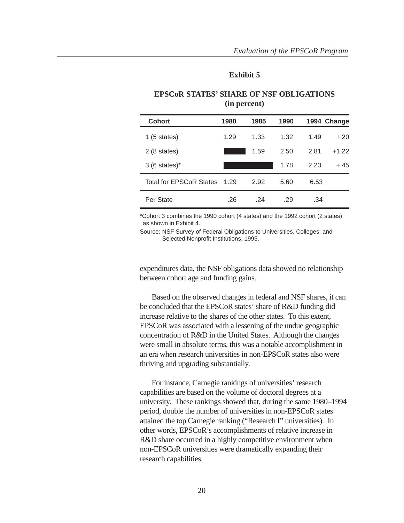#### **Exhibit 5**

<span id="page-26-0"></span>

| <b>Cohort</b>                  | 1980 | 1985 | 1990 |      | 1994 Change |
|--------------------------------|------|------|------|------|-------------|
| 1(5 states)                    | 1.29 | 1.33 | 1.32 | 1.49 | $+.20$      |
| $2(8 \text{ states})$          |      | 1.59 | 2.50 | 2.81 | $+1.22$     |
| $3(6 \text{ states})^*$        |      |      | 1.78 | 2.23 | $+.45$      |
| <b>Total for EPSCoR States</b> | 1.29 | 2.92 | 5.60 | 6.53 |             |
| Per State                      | .26  | -24  | .29  | .34  |             |

#### **EPSCoR STATES' SHARE OF NSF OBLIGATIONS (in percent)**

\*Cohort 3 combines the 1990 cohort (4 states) and the 1992 cohort (2 states) as shown in Exhibit 4.

Source: NSF Survey of Federal Obligations to Universities, Colleges, and Selected Nonprofit Institutions, 1995.

expenditures data, the NSF obligations data showed no relationship between cohort age and funding gains.

Based on the observed changes in federal and NSF shares, it can be concluded that the EPSCoR states' share of R&D funding did increase relative to the shares of the other states. To this extent, EPSCoR was associated with a lessening of the undue geographic concentration of R&D in the United States. Although the changes were small in absolute terms, this was a notable accomplishment in an era when research universities in non-EPSCoR states also were thriving and upgrading substantially.

For instance, Carnegie rankings of universities' research capabilities are based on the volume of doctoral degrees at a university. These rankings showed that, during the same 1980–1994 period, double the number of universities in non-EPSCoR states attained the top Carnegie ranking ("Research I" universities). In other words, EPSCoR's accomplishments of relative increase in R&D share occurred in a highly competitive environment when non-EPSCoR universities were dramatically expanding their research capabilities.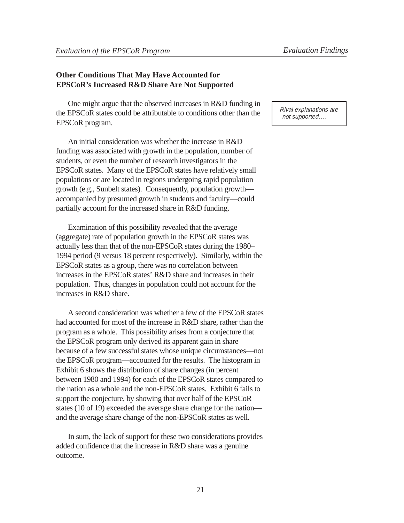## **Other Conditions That May Have Accounted for EPSCoR's Increased R&D Share Are Not Supported**

One might argue that the observed increases in R&D funding in the EPSCoR states could be attributable to conditions other than the EPSCoR program.

An initial consideration was whether the increase in R&D funding was associated with growth in the population, number of students, or even the number of research investigators in the EPSCoR states. Many of the EPSCoR states have relatively small populations or are located in regions undergoing rapid population growth (e.g., Sunbelt states). Consequently, population growth accompanied by presumed growth in students and faculty—could partially account for the increased share in R&D funding.

Examination of this possibility revealed that the average (aggregate) rate of population growth in the EPSCoR states was actually less than that of the non-EPSCoR states during the 1980– 1994 period (9 versus 18 percent respectively). Similarly, within the EPSCoR states as a group, there was no correlation between increases in the EPSCoR states' R&D share and increases in their population. Thus, changes in population could not account for the increases in R&D share.

A second consideration was whether a few of the EPSCoR states had accounted for most of the increase in R&D share, rather than the program as a whole. This possibility arises from a conjecture that the EPSCoR program only derived its apparent gain in share because of a few successful states whose unique circumstances—not the EPSCoR program—accounted for the results. The histogram in Exhibit 6 shows the distribution of share changes (in percent between 1980 and 1994) for each of the EPSCoR states compared to the nation as a whole and the non-EPSCoR states. Exhibit 6 fails to support the conjecture, by showing that over half of the EPSCoR states (10 of 19) exceeded the average share change for the nation and the average share change of the non-EPSCoR states as well.

In sum, the lack of support for these two considerations provides added confidence that the increase in R&D share was a genuine outcome.

Rival explanations are not supported….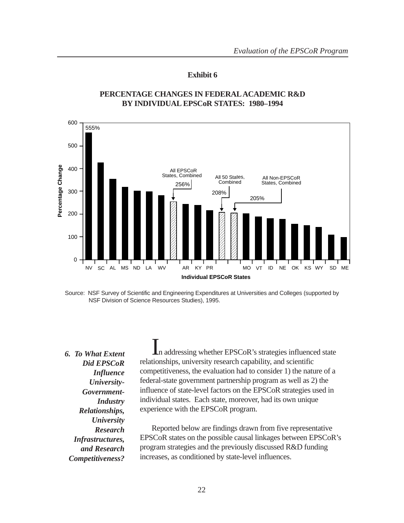#### **Exhibit 6**

<span id="page-28-0"></span>

#### **PERCENTAGE CHANGES IN FEDERAL ACADEMIC R&D BY INDIVIDUAL EPSCoR STATES: 1980–1994**

Source: NSF Survey of Scientific and Engineering Expenditures at Universities and Colleges (supported by NSF Division of Science Resources Studies), 1995.

*6. To What Extent Did EPSCoR Influence University-Government-Industry Relationships, University Research Infrastructures, and Research Competitiveness?*

In addressing whether EPSCoR's strategies influenced state relationships, university research capability, and scientific competitiveness, the evaluation had to consider 1) the nature of a federal-state government partnership program as well as 2) the influence of state-level factors on the EPSCoR strategies used in individual states. Each state, moreover, had its own unique experience with the EPSCoR program.

Reported below are findings drawn from five representative EPSCoR states on the possible causal linkages between EPSCoR's program strategies and the previously discussed R&D funding increases, as conditioned by state-level influences.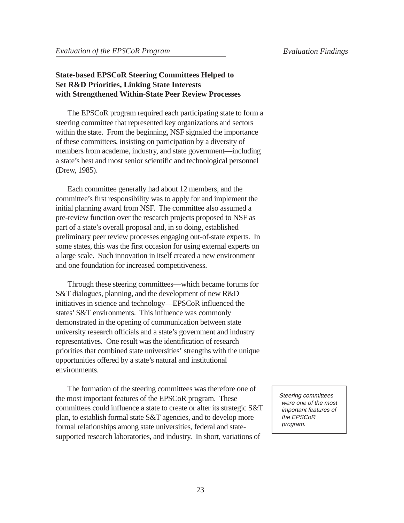# **State-based EPSCoR Steering Committees Helped to Set R&D Priorities, Linking State Interests with Strengthened Within-State Peer Review Processes**

The EPSCoR program required each participating state to form a steering committee that represented key organizations and sectors within the state. From the beginning, NSF signaled the importance of these committees, insisting on participation by a diversity of members from academe, industry, and state government—including a state's best and most senior scientific and technological personnel (Drew, 1985).

Each committee generally had about 12 members, and the committee's first responsibility was to apply for and implement the initial planning award from NSF. The committee also assumed a pre-review function over the research projects proposed to NSF as part of a state's overall proposal and, in so doing, established preliminary peer review processes engaging out-of-state experts. In some states, this was the first occasion for using external experts on a large scale. Such innovation in itself created a new environment and one foundation for increased competitiveness.

Through these steering committees—which became forums for S&T dialogues, planning, and the development of new R&D initiatives in science and technology—EPSCoR influenced the states' S&T environments. This influence was commonly demonstrated in the opening of communication between state university research officials and a state's government and industry representatives. One result was the identification of research priorities that combined state universities' strengths with the unique opportunities offered by a state's natural and institutional environments.

The formation of the steering committees was therefore one of the most important features of the EPSCoR program. These committees could influence a state to create or alter its strategic S&T plan, to establish formal state S&T agencies, and to develop more formal relationships among state universities, federal and statesupported research laboratories, and industry. In short, variations of

Steering committees were one of the most important features of the EPSCoR program.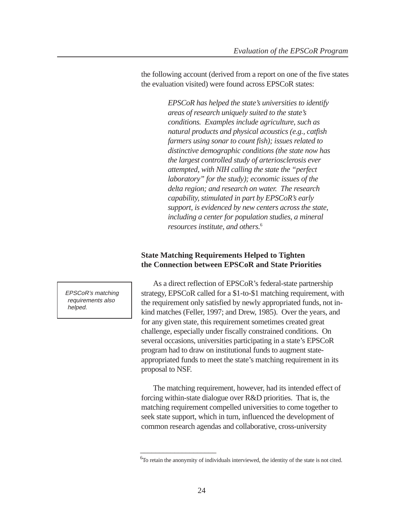the following account (derived from a report on one of the five states the evaluation visited) were found across EPSCoR states:

> *EPSCoR has helped the state's universities to identify areas of research uniquely suited to the state's conditions. Examples include agriculture, such as natural products and physical acoustics (e.g., catfish farmers using sonar to count fish); issues related to distinctive demographic conditions (the state now has the largest controlled study of arteriosclerosis ever attempted, with NIH calling the state the "perfect laboratory" for the study); economic issues of the delta region; and research on water. The research capability, stimulated in part by EPSCoR's early support, is evidenced by new centers across the state, including a center for population studies, a mineral resources institute, and others.*<sup>6</sup>

#### **State Matching Requirements Helped to Tighten the Connection between EPSCoR and State Priorities**

As a direct reflection of EPSCoR's federal-state partnership strategy, EPSCoR called for a \$1-to-\$1 matching requirement, with the requirement only satisfied by newly appropriated funds, not inkind matches (Feller, 1997; and Drew, 1985). Over the years, and for any given state, this requirement sometimes created great challenge, especially under fiscally constrained conditions. On several occasions, universities participating in a state's EPSCoR program had to draw on institutional funds to augment stateappropriated funds to meet the state's matching requirement in its proposal to NSF.

The matching requirement, however, had its intended effect of forcing within-state dialogue over R&D priorities. That is, the matching requirement compelled universities to come together to seek state support, which in turn, influenced the development of common research agendas and collaborative, cross-university

EPSCoR's matching requirements also helped.

\_\_\_\_\_\_\_\_\_\_\_\_\_\_\_\_\_\_\_\_

<sup>&</sup>lt;sup>6</sup>To retain the anonymity of individuals interviewed, the identity of the state is not cited.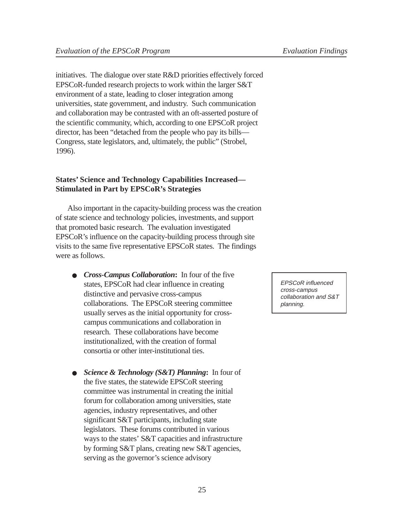initiatives. The dialogue over state R&D priorities effectively forced EPSCoR-funded research projects to work within the larger S&T environment of a state, leading to closer integration among universities, state government, and industry. Such communication and collaboration may be contrasted with an oft-asserted posture of the scientific community, which, according to one EPSCoR project director, has been "detached from the people who pay its bills— Congress, state legislators, and, ultimately, the public" (Strobel, 1996).

# **States' Science and Technology Capabilities Increased— Stimulated in Part by EPSCoR's Strategies**

Also important in the capacity-building process was the creation of state science and technology policies, investments, and support that promoted basic research. The evaluation investigated EPSCoR's influence on the capacity-building process through site visits to the same five representative EPSCoR states. The findings were as follows.

- *Cross-Campus Collaboration***:**In four of the five states, EPSCoR had clear influence in creating distinctive and pervasive cross-campus collaborations. The EPSCoR steering committee usually serves as the initial opportunity for crosscampus communications and collaboration in research. These collaborations have become institutionalized, with the creation of formal consortia or other inter-institutional ties.
- *Science & Technology (S&T) Planning***:**In four of the five states, the statewide EPSCoR steering committee was instrumental in creating the initial forum for collaboration among universities, state agencies, industry representatives, and other significant S&T participants, including state legislators. These forums contributed in various ways to the states' S&T capacities and infrastructure by forming S&T plans, creating new S&T agencies, serving as the governor's science advisory

EPSCoR influenced cross-campus collaboration and S&T planning.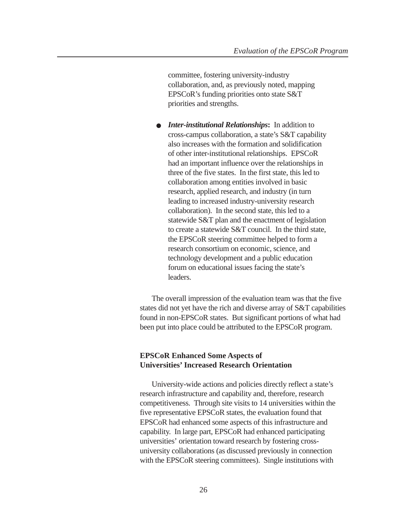committee, fostering university-industry collaboration, and, as previously noted, mapping EPSCoR's funding priorities onto state S&T priorities and strengths.

● *Inter-institutional Relationships***:**In addition to cross-campus collaboration, a state's S&T capability also increases with the formation and solidification of other inter-institutional relationships. EPSCoR had an important influence over the relationships in three of the five states. In the first state, this led to collaboration among entities involved in basic research, applied research, and industry (in turn leading to increased industry-university research collaboration). In the second state, this led to a statewide S&T plan and the enactment of legislation to create a statewide S&T council. In the third state, the EPSCoR steering committee helped to form a research consortium on economic, science, and technology development and a public education forum on educational issues facing the state's leaders.

The overall impression of the evaluation team was that the five states did not yet have the rich and diverse array of S&T capabilities found in non-EPSCoR states. But significant portions of what had been put into place could be attributed to the EPSCoR program.

#### **EPSCoR Enhanced Some Aspects of Universities' Increased Research Orientation**

University-wide actions and policies directly reflect a state's research infrastructure and capability and, therefore, research competitiveness. Through site visits to 14 universities within the five representative EPSCoR states, the evaluation found that EPSCoR had enhanced some aspects of this infrastructure and capability. In large part, EPSCoR had enhanced participating universities' orientation toward research by fostering crossuniversity collaborations (as discussed previously in connection with the EPSCoR steering committees). Single institutions with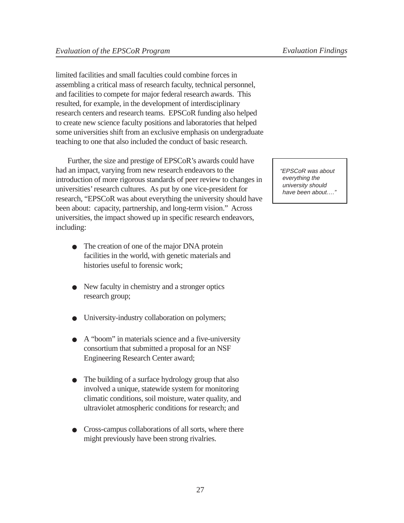limited facilities and small faculties could combine forces in assembling a critical mass of research faculty, technical personnel, and facilities to compete for major federal research awards. This resulted, for example, in the development of interdisciplinary research centers and research teams. EPSCoR funding also helped to create new science faculty positions and laboratories that helped some universities shift from an exclusive emphasis on undergraduate teaching to one that also included the conduct of basic research.

Further, the size and prestige of EPSCoR's awards could have had an impact, varying from new research endeavors to the introduction of more rigorous standards of peer review to changes in universities' research cultures. As put by one vice-president for research, "EPSCoR was about everything the university should have been about: capacity, partnership, and long-term vision." Across universities, the impact showed up in specific research endeavors, including:

- The creation of one of the major DNA protein facilities in the world, with genetic materials and histories useful to forensic work;
- New faculty in chemistry and a stronger optics research group;
- University-industry collaboration on polymers;
- A "boom" in materials science and a five-university consortium that submitted a proposal for an NSF Engineering Research Center award;
- The building of a surface hydrology group that also involved a unique, statewide system for monitoring climatic conditions, soil moisture, water quality, and ultraviolet atmospheric conditions for research; and
- Cross-campus collaborations of all sorts, where there might previously have been strong rivalries.

"EPSCoR was about everything the university should have been about....'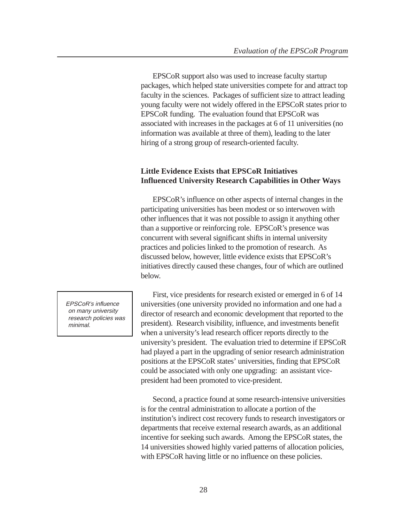EPSCoR support also was used to increase faculty startup packages, which helped state universities compete for and attract top faculty in the sciences. Packages of sufficient size to attract leading young faculty were not widely offered in the EPSCoR states prior to EPSCoR funding. The evaluation found that EPSCoR was associated with increases in the packages at 6 of 11 universities (no information was available at three of them), leading to the later hiring of a strong group of research-oriented faculty.

#### **Little Evidence Exists that EPSCoR Initiatives Influenced University Research Capabilities in Other Ways**

EPSCoR's influence on other aspects of internal changes in the participating universities has been modest or so interwoven with other influences that it was not possible to assign it anything other than a supportive or reinforcing role. EPSCoR's presence was concurrent with several significant shifts in internal university practices and policies linked to the promotion of research. As discussed below, however, little evidence exists that EPSCoR's initiatives directly caused these changes, four of which are outlined below.

First, vice presidents for research existed or emerged in 6 of 14 universities (one university provided no information and one had a director of research and economic development that reported to the president). Research visibility, influence, and investments benefit when a university's lead research officer reports directly to the university's president. The evaluation tried to determine if EPSCoR had played a part in the upgrading of senior research administration positions at the EPSCoR states' universities, finding that EPSCoR could be associated with only one upgrading: an assistant vicepresident had been promoted to vice-president.

Second, a practice found at some research-intensive universities is for the central administration to allocate a portion of the institution's indirect cost recovery funds to research investigators or departments that receive external research awards, as an additional incentive for seeking such awards. Among the EPSCoR states, the 14 universities showed highly varied patterns of allocation policies, with EPSCoR having little or no influence on these policies.

EPSCoR's influence on many university research policies was minimal.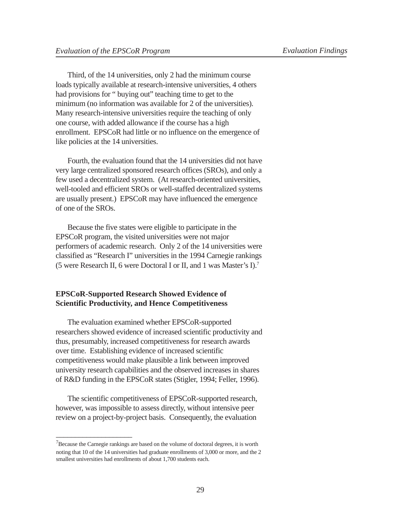Third, of the 14 universities, only 2 had the minimum course loads typically available at research-intensive universities, 4 others had provisions for " buying out" teaching time to get to the minimum (no information was available for 2 of the universities). Many research-intensive universities require the teaching of only one course, with added allowance if the course has a high enrollment. EPSCoR had little or no influence on the emergence of like policies at the 14 universities.

Fourth, the evaluation found that the 14 universities did not have very large centralized sponsored research offices (SROs), and only a few used a decentralized system. (At research-oriented universities, well-tooled and efficient SROs or well-staffed decentralized systems are usually present.) EPSCoR may have influenced the emergence of one of the SROs.

Because the five states were eligible to participate in the EPSCoR program, the visited universities were not major performers of academic research. Only 2 of the 14 universities were classified as "Research I" universities in the 1994 Carnegie rankings (5 were Research II, 6 were Doctoral I or II, and 1 was Master's I).7

#### **EPSCoR-Supported Research Showed Evidence of Scientific Productivity, and Hence Competitiveness**

The evaluation examined whether EPSCoR-supported researchers showed evidence of increased scientific productivity and thus, presumably, increased competitiveness for research awards over time. Establishing evidence of increased scientific competitiveness would make plausible a link between improved university research capabilities and the observed increases in shares of R&D funding in the EPSCoR states (Stigler, 1994; Feller, 1996).

The scientific competitiveness of EPSCoR-supported research, however, was impossible to assess directly, without intensive peer review on a project-by-project basis. Consequently, the evaluation

\_\_\_\_\_\_\_\_\_\_\_\_\_\_\_\_\_\_\_\_

 $7$ Because the Carnegie rankings are based on the volume of doctoral degrees, it is worth noting that 10 of the 14 universities had graduate enrollments of 3,000 or more, and the 2 smallest universities had enrollments of about 1,700 students each.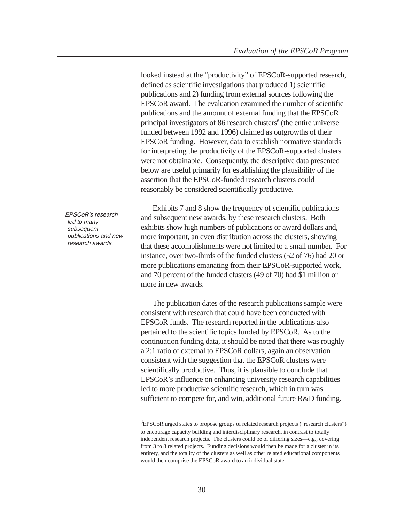looked instead at the "productivity" of EPSCoR-supported research, defined as scientific investigations that produced 1) scientific publications and 2) funding from external sources following the EPSCoR award. The evaluation examined the number of scientific publications and the amount of external funding that the EPSCoR principal investigators of 86 research clusters<sup>8</sup> (the entire universe funded between 1992 and 1996) claimed as outgrowths of their EPSCoR funding. However, data to establish normative standards for interpreting the productivity of the EPSCoR-supported clusters were not obtainable. Consequently, the descriptive data presented below are useful primarily for establishing the plausibility of the assertion that the EPSCoR-funded research clusters could reasonably be considered scientifically productive.

EPSCoR's research led to many subsequent publications and new research awards.

Exhibits 7 and 8 show the frequency of scientific publications and subsequent new awards, by these research clusters. Both exhibits show high numbers of publications or award dollars and, more important, an even distribution across the clusters, showing that these accomplishments were not limited to a small number. For instance, over two-thirds of the funded clusters (52 of 76) had 20 or more publications emanating from their EPSCoR-supported work, and 70 percent of the funded clusters (49 of 70) had \$1 million or more in new awards.

The publication dates of the research publications sample were consistent with research that could have been conducted with EPSCoR funds. The research reported in the publications also pertained to the scientific topics funded by EPSCoR. As to the continuation funding data, it should be noted that there was roughly a 2:1 ratio of external to EPSCoR dollars, again an observation consistent with the suggestion that the EPSCoR clusters were scientifically productive. Thus, it is plausible to conclude that EPSCoR's influence on enhancing university research capabilities led to more productive scientific research, which in turn was sufficient to compete for, and win, additional future R&D funding.

\_\_\_\_\_\_\_\_\_\_\_\_\_\_\_\_\_\_\_\_

<sup>&</sup>lt;sup>8</sup>EPSCoR urged states to propose groups of related research projects ("research clusters") to encourage capacity building and interdisciplinary research, in contrast to totally independent research projects. The clusters could be of differing sizes—e.g., covering from 3 to 8 related projects. Funding decisions would then be made for a cluster in its entirety, and the totality of the clusters as well as other related educational components would then comprise the EPSCoR award to an individual state.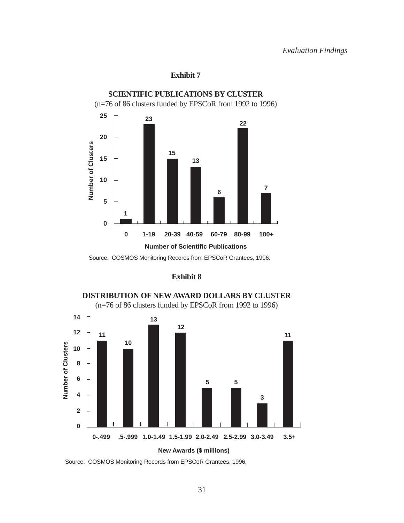#### **Exhibit 7**

<span id="page-37-0"></span>

Source: COSMOS Monitoring Records from EPSCoR Grantees, 1996.

#### **Exhibit 8**





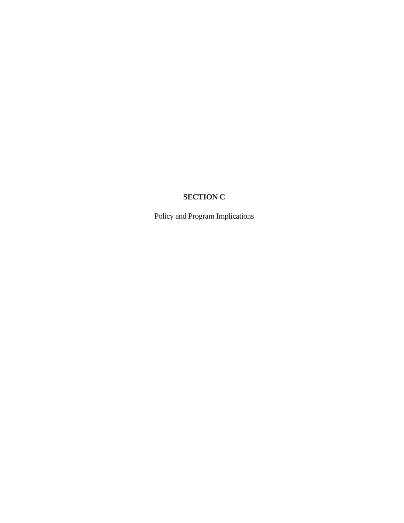# **SECTION C**

<span id="page-38-0"></span>Policy and Program Implications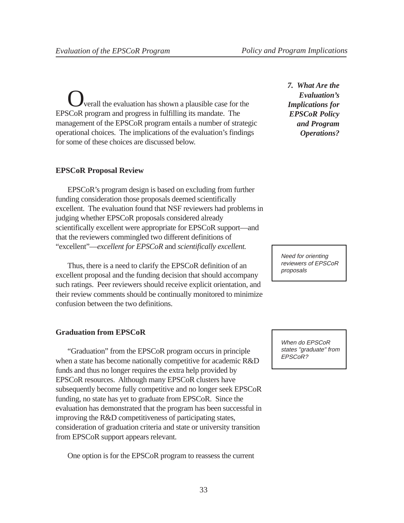<span id="page-39-0"></span>verall the evaluation has shown a plausible case for the EPSCoR program and progress in fulfilling its mandate. The management of the EPSCoR program entails a number of strategic operational choices. The implications of the evaluation's findings for some of these choices are discussed below.

#### **EPSCoR Proposal Review**

EPSCoR's program design is based on excluding from further funding consideration those proposals deemed scientifically excellent. The evaluation found that NSF reviewers had problems in judging whether EPSCoR proposals considered already scientifically excellent were appropriate for EPSCoR support—and that the reviewers commingled two different definitions of "excellent"—*excellent for EPSCoR* and *scientifically excellent.*

Thus, there is a need to clarify the EPSCoR definition of an excellent proposal and the funding decision that should accompany such ratings. Peer reviewers should receive explicit orientation, and their review comments should be continually monitored to minimize confusion between the two definitions.

#### **Graduation from EPSCoR**

"Graduation" from the EPSCoR program occurs in principle when a state has become nationally competitive for academic R&D funds and thus no longer requires the extra help provided by EPSCoR resources. Although many EPSCoR clusters have subsequently become fully competitive and no longer seek EPSCoR funding, no state has yet to graduate from EPSCoR. Since the evaluation has demonstrated that the program has been successful in improving the R&D competitiveness of participating states, consideration of graduation criteria and state or university transition from EPSCoR support appears relevant.

One option is for the EPSCoR program to reassess the current

*7. What Are the Evaluation's Implications for EPSCoR Policy and Program Operations?*

Need for orienting reviewers of EPSCoR proposals

When do EPSCoR states "graduate" from EPSCoR?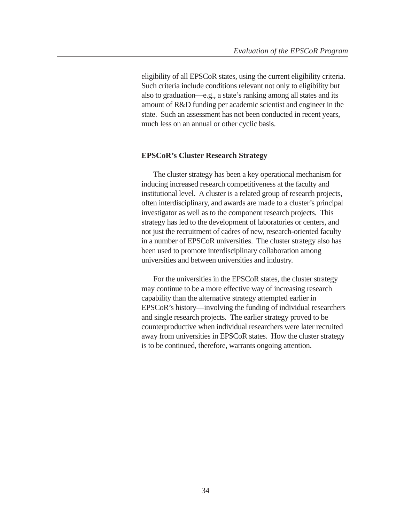eligibility of all EPSCoR states, using the current eligibility criteria. Such criteria include conditions relevant not only to eligibility but also to graduation—e.g., a state's ranking among all states and its amount of R&D funding per academic scientist and engineer in the state. Such an assessment has not been conducted in recent years, much less on an annual or other cyclic basis.

#### **EPSCoR's Cluster Research Strategy**

The cluster strategy has been a key operational mechanism for inducing increased research competitiveness at the faculty and institutional level. A cluster is a related group of research projects, often interdisciplinary, and awards are made to a cluster's principal investigator as well as to the component research projects. This strategy has led to the development of laboratories or centers, and not just the recruitment of cadres of new, research-oriented faculty in a number of EPSCoR universities. The cluster strategy also has been used to promote interdisciplinary collaboration among universities and between universities and industry.

For the universities in the EPSCoR states, the cluster strategy may continue to be a more effective way of increasing research capability than the alternative strategy attempted earlier in EPSCoR's history—involving the funding of individual researchers and single research projects. The earlier strategy proved to be counterproductive when individual researchers were later recruited away from universities in EPSCoR states. How the cluster strategy is to be continued, therefore, warrants ongoing attention.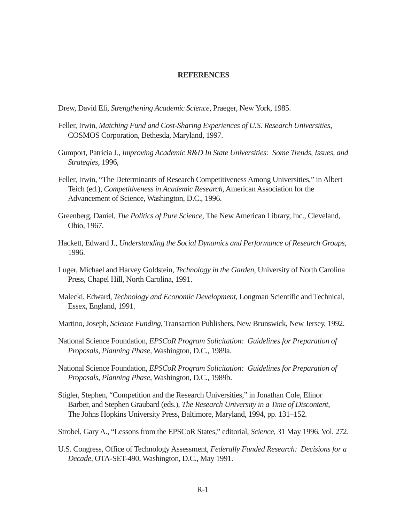#### **REFERENCES**

<span id="page-41-0"></span>Drew, David Eli, *Strengthening Academic Science,* Praeger, New York, 1985.

- Feller, Irwin, *Matching Fund and Cost-Sharing Experiences of U.S. Research Universities*, COSMOS Corporation, Bethesda, Maryland, 1997.
- Gumport, Patricia J., *Improving Academic R&D In State Universities: Some Trends, Issues, and Strategies,* 1996,
- Feller, Irwin, "The Determinants of Research Competitiveness Among Universities," in Albert Teich (ed.), *Competitiveness in Academic Research*, American Association for the Advancement of Science, Washington, D.C., 1996.
- Greenberg, Daniel, *The Politics of Pure Science*, The New American Library, Inc., Cleveland, Ohio, 1967.
- Hackett, Edward J., *Understanding the Social Dynamics and Performance of Research Groups*, 1996.
- Luger, Michael and Harvey Goldstein, *Technology in the Garden,* University of North Carolina Press, Chapel Hill, North Carolina, 1991.
- Malecki, Edward, *Technology and Economic Development,* Longman Scientific and Technical, Essex, England, 1991.
- Martino, Joseph, *Science Funding*, Transaction Publishers, New Brunswick, New Jersey, 1992.
- National Science Foundation, *EPSCoR Program Solicitation: Guidelines for Preparation of Proposals, Planning Phase,* Washington, D.C., 1989a.
- National Science Foundation, *EPSCoR Program Solicitation: Guidelines for Preparation of Proposals, Planning Phase,* Washington, D.C., 1989b.
- Stigler, Stephen, "Competition and the Research Universities," in Jonathan Cole, Elinor Barber, and Stephen Graubard (eds.), *The Research University in a Time of Discontent,* The Johns Hopkins University Press, Baltimore, Maryland, 1994, pp. 131–152.

Strobel, Gary A., "Lessons from the EPSCoR States," editorial, *Science*, 31 May 1996, Vol. 272.

U.S. Congress, Office of Technology Assessment, *Federally Funded Research: Decisions for a Decade,* OTA-SET-490, Washington, D.C., May 1991.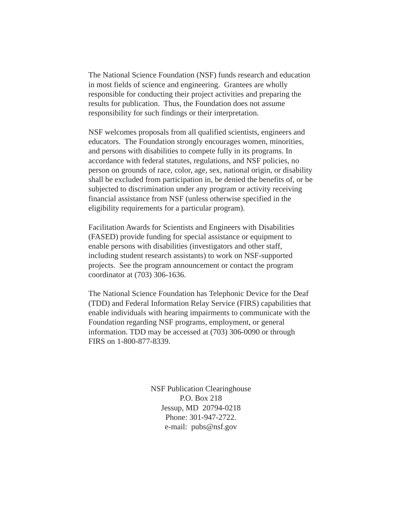The National Science Foundation (NSF) funds research and education in most fields of science and engineering. Grantees are wholly responsible for conducting their project activities and preparing the results for publication. Thus, the Foundation does not assume responsibility for such findings or their interpretation.

NSF welcomes proposals from all qualified scientists, engineers and educators. The Foundation strongly encourages women, minorities, and persons with disabilities to compete fully in its programs. In accordance with federal statutes, regulations, and NSF policies, no person on grounds of race, color, age, sex, national origin, or disability shall be excluded from participation in, be denied the benefits of, or be subjected to discrimination under any program or activity receiving financial assistance from NSF (unless otherwise specified in the eligibility requirements for a particular program).

Facilitation Awards for Scientists and Engineers with Disabilities (FASED) provide funding for special assistance or equipment to enable persons with disabilities (investigators and other staff, including student research assistants) to work on NSF-supported projects. See the program announcement or contact the program coordinator at (703) 306-1636.

The National Science Foundation has Telephonic Device for the Deaf (TDD) and Federal Information Relay Service (FIRS) capabilities that enable individuals with hearing impairments to communicate with the Foundation regarding NSF programs, employment, or general information. TDD may be accessed at (703) 306-0090 or through FIRS on 1-800-877-8339.

> NSF Publication Clearinghouse P.O. Box 218 Jessup, MD 20794-0218 Phone: 301-947-2722. e-mail: pubs@nsf.gov